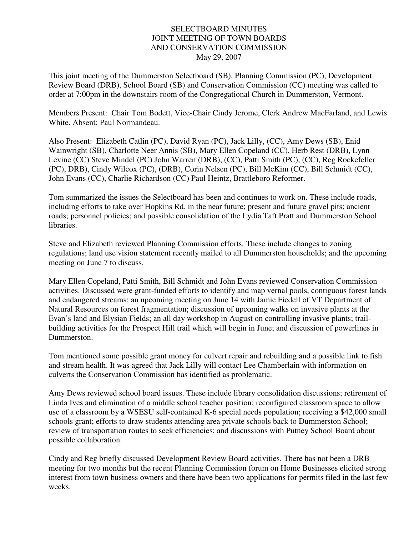## SELECTBOARD MINUTES JOINT MEETING OF TOWN BOARDS AND CONSERVATION COMMISSION May 29, 2007

This joint meeting of the Dummerston Selectboard (SB), Planning Commission (PC), Development Review Board (DRB), School Board (SB) and Conservation Commission (CC) meeting was called to order at 7:00pm in the downstairs room of the Congregational Church in Dummerston, Vermont.

Members Present: Chair Tom Bodett, Vice-Chair Cindy Jerome, Clerk Andrew MacFarland, and Lewis White. Absent: Paul Normandeau.

Also Present: Elizabeth Catlin (PC), David Ryan (PC), Jack Lilly, (CC), Amy Dews (SB), Enid Wainwright (SB), Charlotte Neer Annis (SB), Mary Ellen Copeland (CC), Herb Rest (DRB), Lynn Levine (CC) Steve Mindel (PC) John Warren (DRB), (CC), Patti Smith (PC), (CC), Reg Rockefeller (PC), DRB), Cindy Wilcox (PC), (DRB), Corin Nelsen (PC), Bill McKim (CC), Bill Schmidt (CC), John Evans (CC), Charlie Richardson (CC) Paul Heintz, Brattleboro Reformer.

Tom summarized the issues the Selectboard has been and continues to work on. These include roads, including efforts to take over Hopkins Rd. in the near future; present and future gravel pits; ancient roads; personnel policies; and possible consolidation of the Lydia Taft Pratt and Dummerston School libraries.

Steve and Elizabeth reviewed Planning Commission efforts. These include changes to zoning regulations; land use vision statement recently mailed to all Dummerston households; and the upcoming meeting on June 7 to discuss.

Mary Ellen Copeland, Patti Smith, Bill Schmidt and John Evans reviewed Conservation Commission activities. Discussed were grant-funded efforts to identify and map vernal pools, contiguous forest lands and endangered streams; an upcoming meeting on June 14 with Jamie Fiedell of VT Department of Natural Resources on forest fragmentation; discussion of upcoming walks on invasive plants at the Evan's land and Elysian Fields; an all day workshop in August on controlling invasive plants; trailbuilding activities for the Prospect Hill trail which will begin in June; and discussion of powerlines in Dummerston.

Tom mentioned some possible grant money for culvert repair and rebuilding and a possible link to fish and stream health. It was agreed that Jack Lilly will contact Lee Chamberlain with information on culverts the Conservation Commission has identified as problematic.

Amy Dews reviewed school board issues. These include library consolidation discussions; retirement of Linda Ives and elimination of a middle school teacher position; reconfigured classroom space to allow use of a classroom by a WSESU self-contained K-6 special needs population; receiving a \$42,000 small schools grant; efforts to draw students attending area private schools back to Dummerston School; review of transportation routes to seek efficiencies; and discussions with Putney School Board about possible collaboration.

Cindy and Reg briefly discussed Development Review Board activities. There has not been a DRB meeting for two months but the recent Planning Commission forum on Home Businesses elicited strong interest from town business owners and there have been two applications for permits filed in the last few weeks.